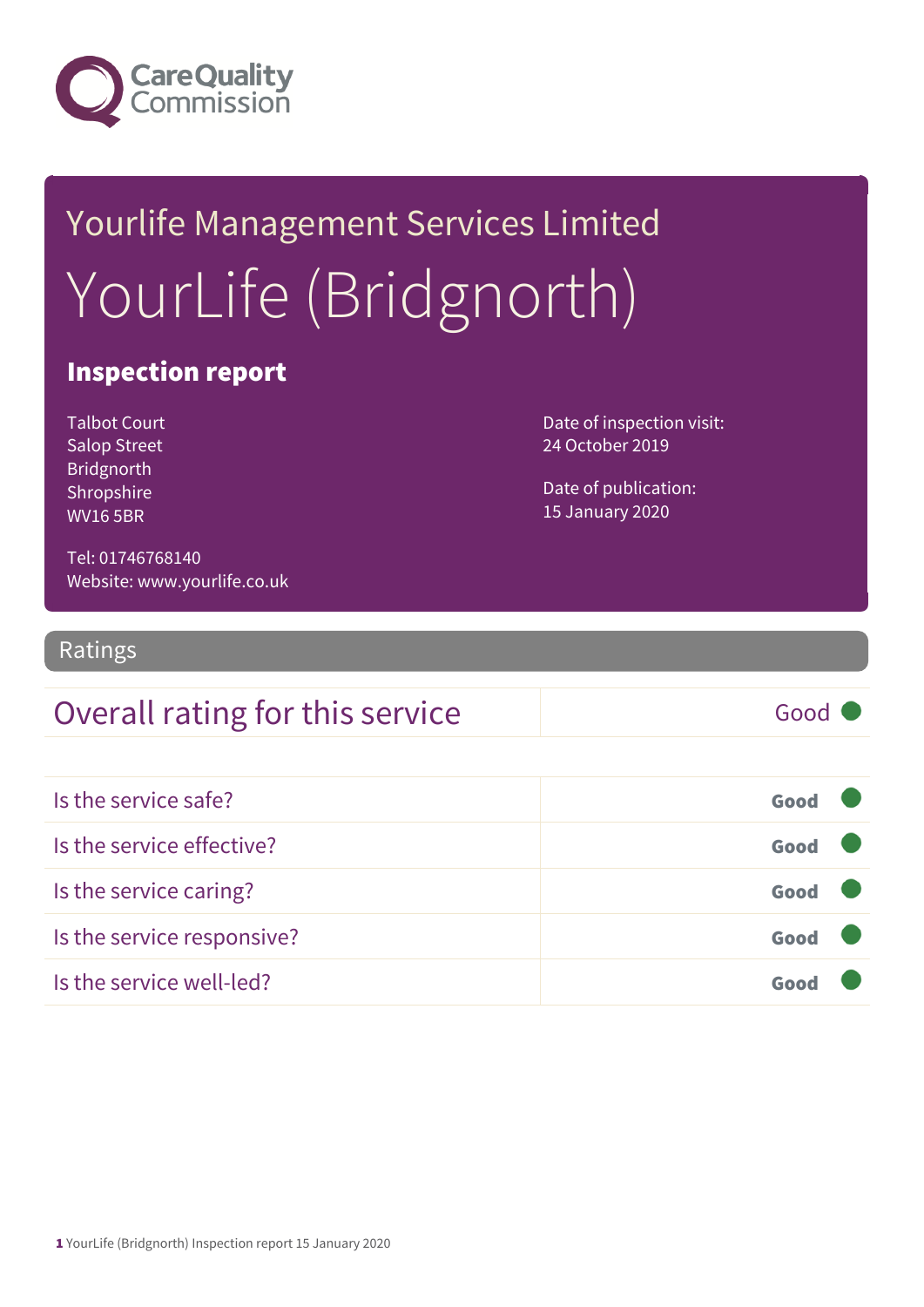

# Yourlife Management Services Limited YourLife (Bridgnorth)

### Inspection report

Talbot Court Salop Street Bridgnorth Shropshire WV16 5BR

Date of inspection visit: 24 October 2019

Date of publication: 15 January 2020

Tel: 01746768140 Website: www.yourlife.co.uk

Ratings

### Overall rating for this service Fig. 6000

Is the service safe? Good Is the service effective? Good Is the service caring? Good Is the service responsive? Good Is the service well-led? Good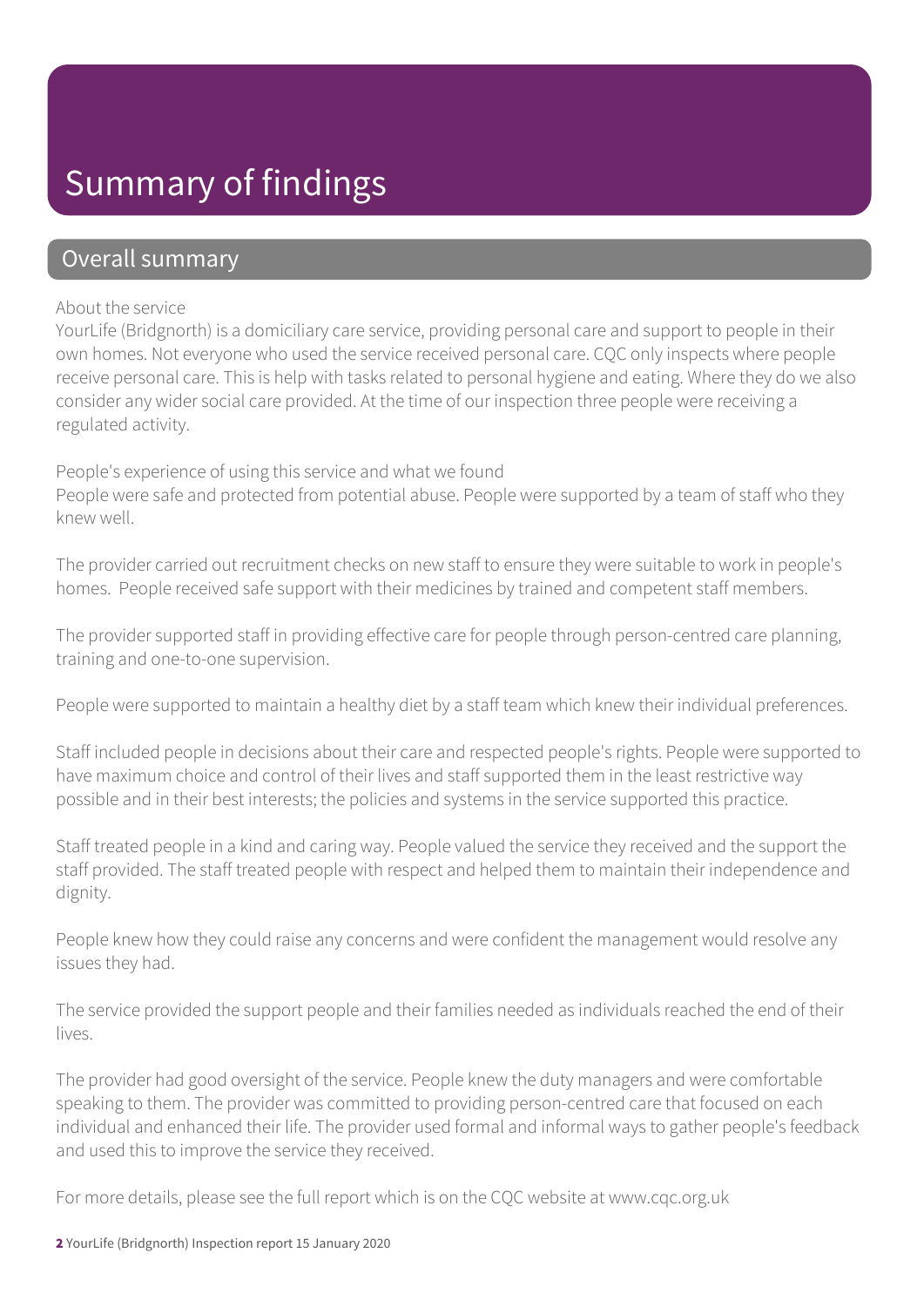### Summary of findings

### Overall summary

#### About the service

YourLife (Bridgnorth) is a domiciliary care service, providing personal care and support to people in their own homes. Not everyone who used the service received personal care. CQC only inspects where people receive personal care. This is help with tasks related to personal hygiene and eating. Where they do we also consider any wider social care provided. At the time of our inspection three people were receiving a regulated activity.

#### People's experience of using this service and what we found

People were safe and protected from potential abuse. People were supported by a team of staff who they knew well.

The provider carried out recruitment checks on new staff to ensure they were suitable to work in people's homes. People received safe support with their medicines by trained and competent staff members.

The provider supported staff in providing effective care for people through person-centred care planning, training and one-to-one supervision.

People were supported to maintain a healthy diet by a staff team which knew their individual preferences.

Staff included people in decisions about their care and respected people's rights. People were supported to have maximum choice and control of their lives and staff supported them in the least restrictive way possible and in their best interests; the policies and systems in the service supported this practice.

Staff treated people in a kind and caring way. People valued the service they received and the support the staff provided. The staff treated people with respect and helped them to maintain their independence and dignity.

People knew how they could raise any concerns and were confident the management would resolve any issues they had.

The service provided the support people and their families needed as individuals reached the end of their lives.

The provider had good oversight of the service. People knew the duty managers and were comfortable speaking to them. The provider was committed to providing person-centred care that focused on each individual and enhanced their life. The provider used formal and informal ways to gather people's feedback and used this to improve the service they received.

For more details, please see the full report which is on the CQC website at www.cqc.org.uk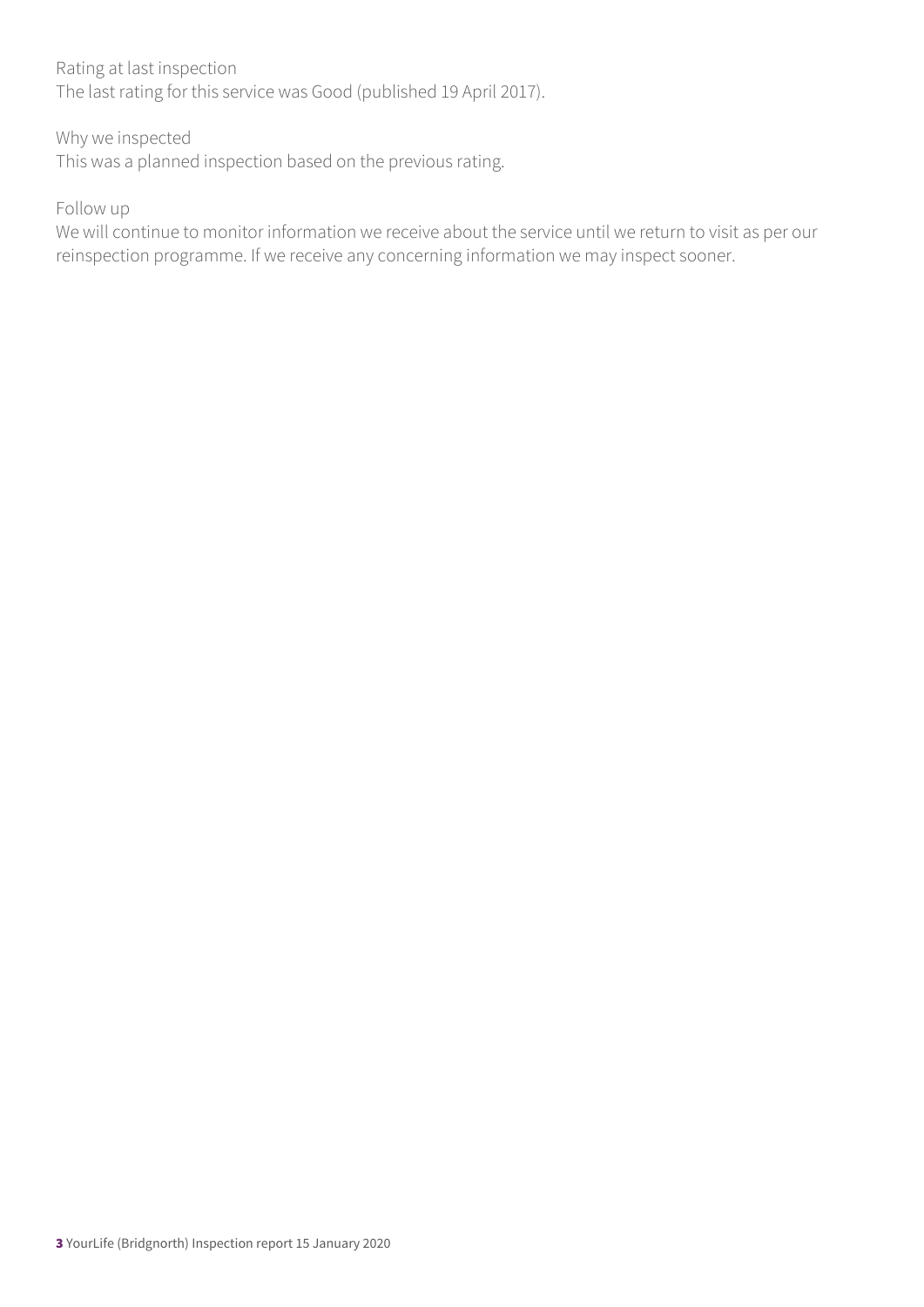#### Rating at last inspection

The last rating for this service was Good (published 19 April 2017).

#### Why we inspected

This was a planned inspection based on the previous rating.

#### Follow up

We will continue to monitor information we receive about the service until we return to visit as per our reinspection programme. If we receive any concerning information we may inspect sooner.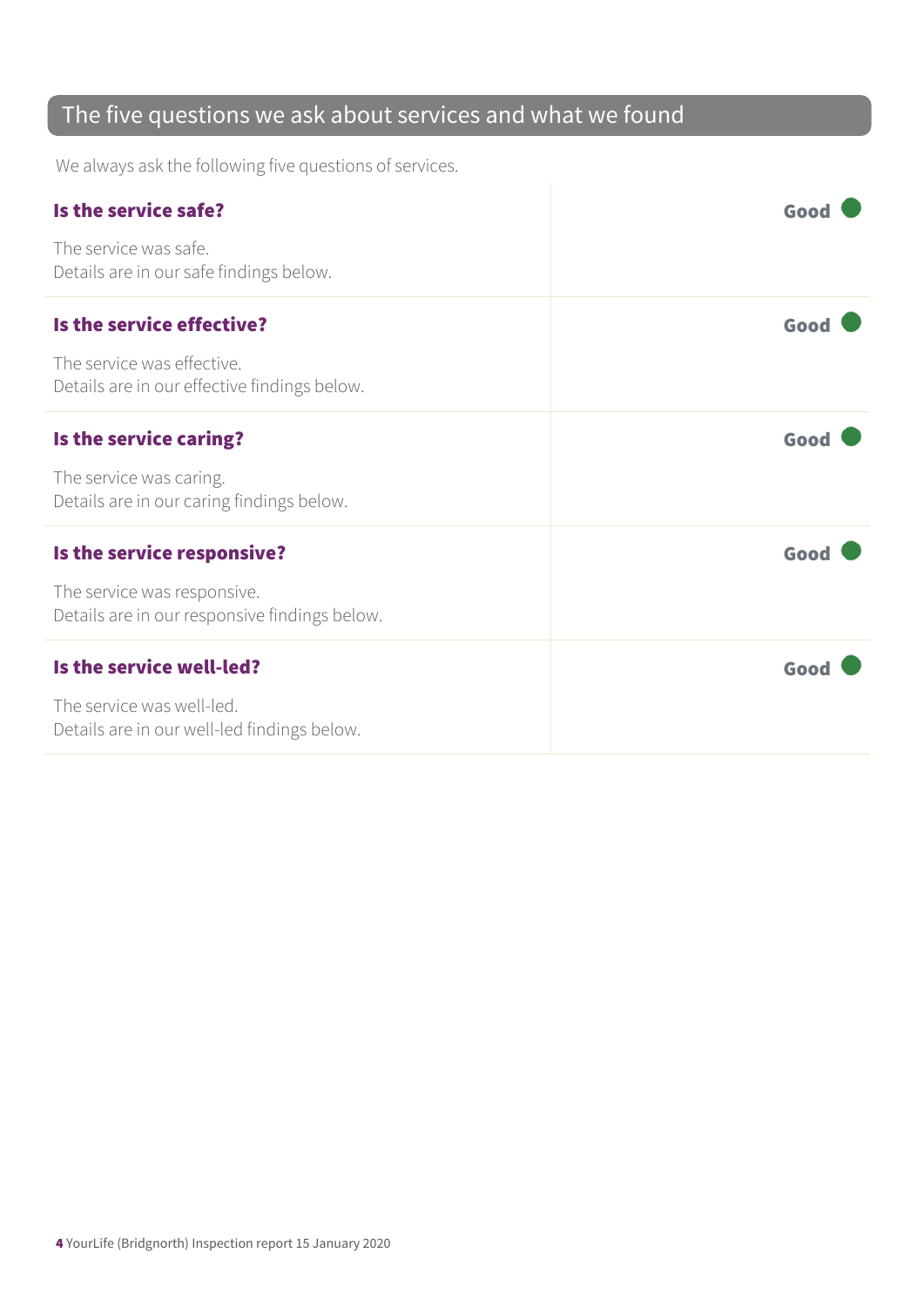### The five questions we ask about services and what we found

We always ask the following five questions of services.

| Is the service safe?                                                         | Good |
|------------------------------------------------------------------------------|------|
| The service was safe.<br>Details are in our safe findings below.             |      |
| Is the service effective?                                                    | Good |
| The service was effective.<br>Details are in our effective findings below.   |      |
| Is the service caring?                                                       | Good |
| The service was caring.<br>Details are in our caring findings below.         |      |
| Is the service responsive?                                                   | Good |
| The service was responsive.<br>Details are in our responsive findings below. |      |
| Is the service well-led?                                                     | Good |
| The service was well-led.<br>Details are in our well-led findings below.     |      |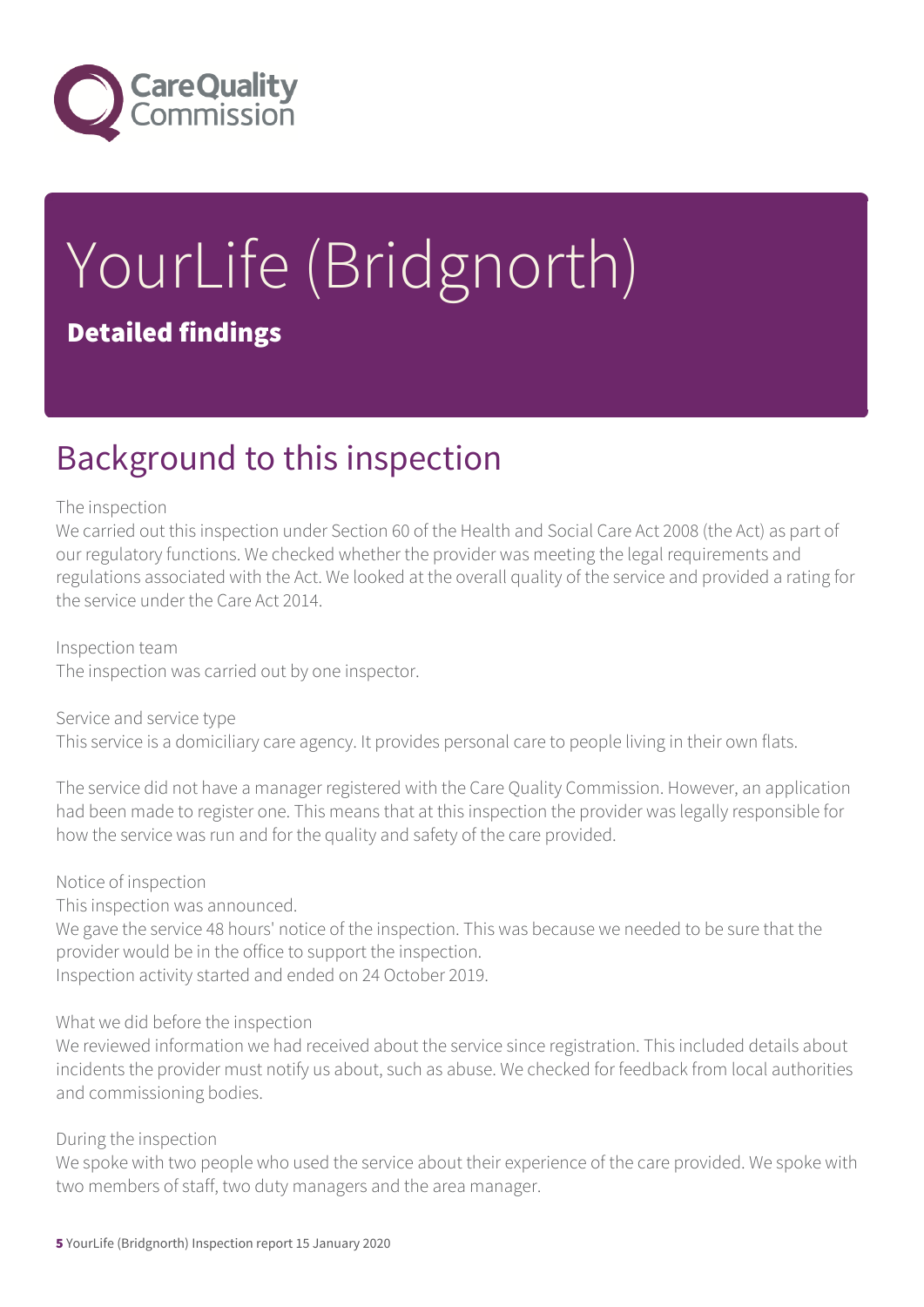

# YourLife (Bridgnorth) Detailed findings

### Background to this inspection

#### The inspection

We carried out this inspection under Section 60 of the Health and Social Care Act 2008 (the Act) as part of our regulatory functions. We checked whether the provider was meeting the legal requirements and regulations associated with the Act. We looked at the overall quality of the service and provided a rating for the service under the Care Act 2014.

Inspection team The inspection was carried out by one inspector.

Service and service type This service is a domiciliary care agency. It provides personal care to people living in their own flats.

The service did not have a manager registered with the Care Quality Commission. However, an application had been made to register one. This means that at this inspection the provider was legally responsible for how the service was run and for the quality and safety of the care provided.

#### Notice of inspection

This inspection was announced.

We gave the service 48 hours' notice of the inspection. This was because we needed to be sure that the provider would be in the office to support the inspection.

Inspection activity started and ended on 24 October 2019.

#### What we did before the inspection

We reviewed information we had received about the service since registration. This included details about incidents the provider must notify us about, such as abuse. We checked for feedback from local authorities and commissioning bodies.

#### During the inspection

We spoke with two people who used the service about their experience of the care provided. We spoke with two members of staff, two duty managers and the area manager.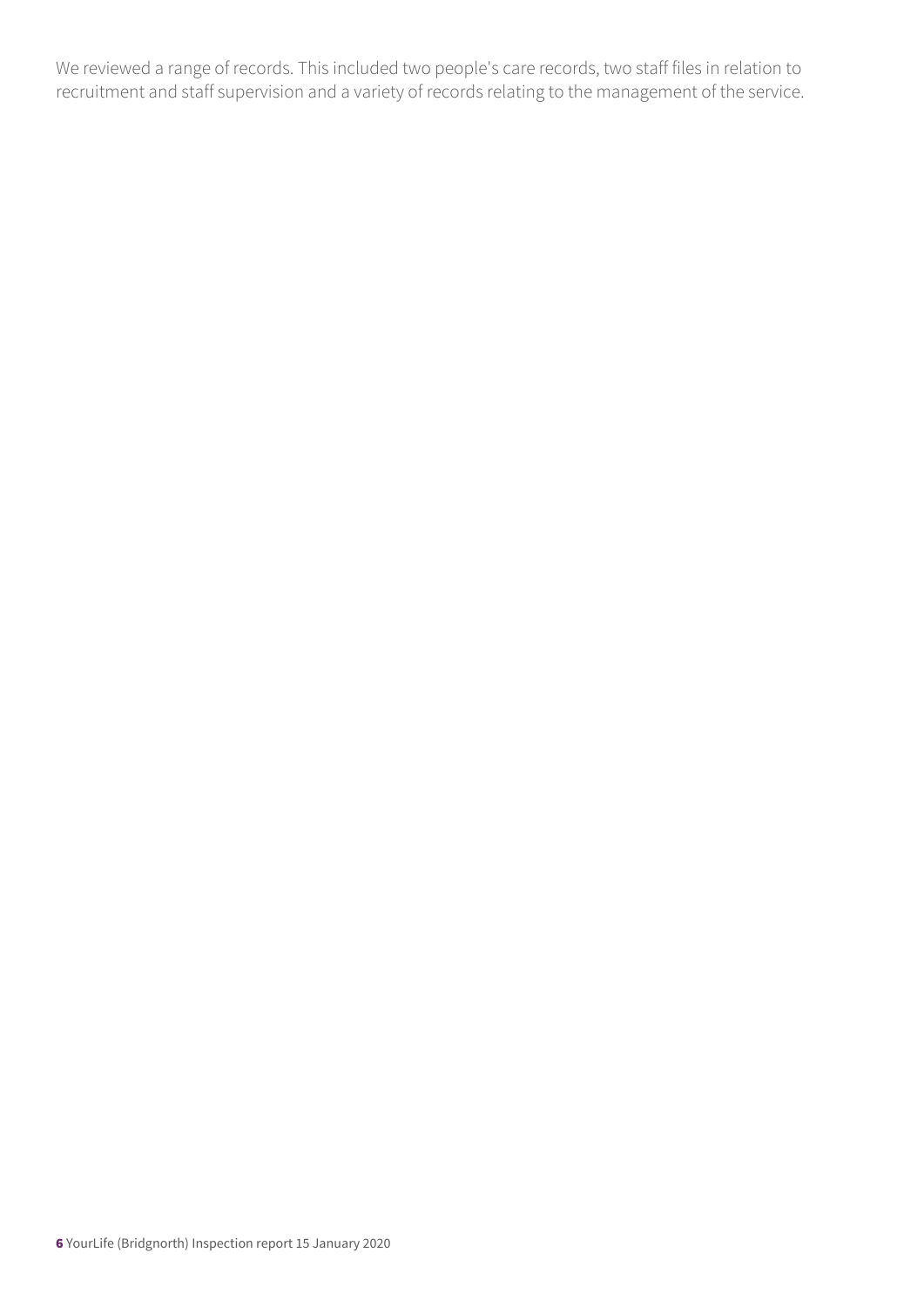We reviewed a range of records. This included two people's care records, two staff files in relation to recruitment and staff supervision and a variety of records relating to the management of the service.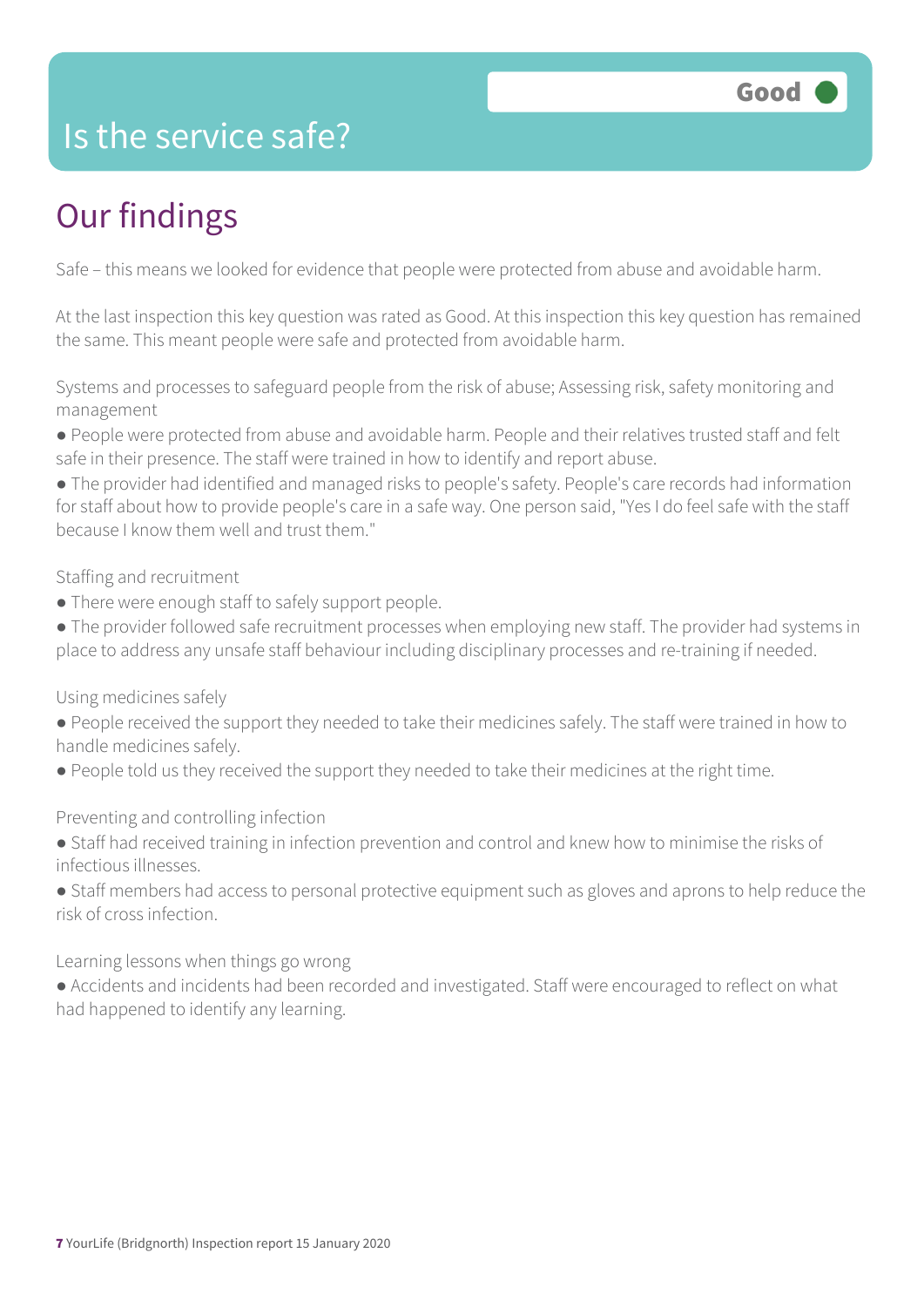### Is the service safe?

## Our findings

Safe – this means we looked for evidence that people were protected from abuse and avoidable harm.

At the last inspection this key question was rated as Good. At this inspection this key question has remained the same. This meant people were safe and protected from avoidable harm.

Systems and processes to safeguard people from the risk of abuse; Assessing risk, safety monitoring and management

● People were protected from abuse and avoidable harm. People and their relatives trusted staff and felt safe in their presence. The staff were trained in how to identify and report abuse.

● The provider had identified and managed risks to people's safety. People's care records had information for staff about how to provide people's care in a safe way. One person said, "Yes I do feel safe with the staff because I know them well and trust them."

Staffing and recruitment

• There were enough staff to safely support people.

• The provider followed safe recruitment processes when employing new staff. The provider had systems in place to address any unsafe staff behaviour including disciplinary processes and re-training if needed.

Using medicines safely

- People received the support they needed to take their medicines safely. The staff were trained in how to handle medicines safely.
- People told us they received the support they needed to take their medicines at the right time.

Preventing and controlling infection

- Staff had received training in infection prevention and control and knew how to minimise the risks of infectious illnesses.
- Staff members had access to personal protective equipment such as gloves and aprons to help reduce the risk of cross infection.

Learning lessons when things go wrong

● Accidents and incidents had been recorded and investigated. Staff were encouraged to reflect on what had happened to identify any learning.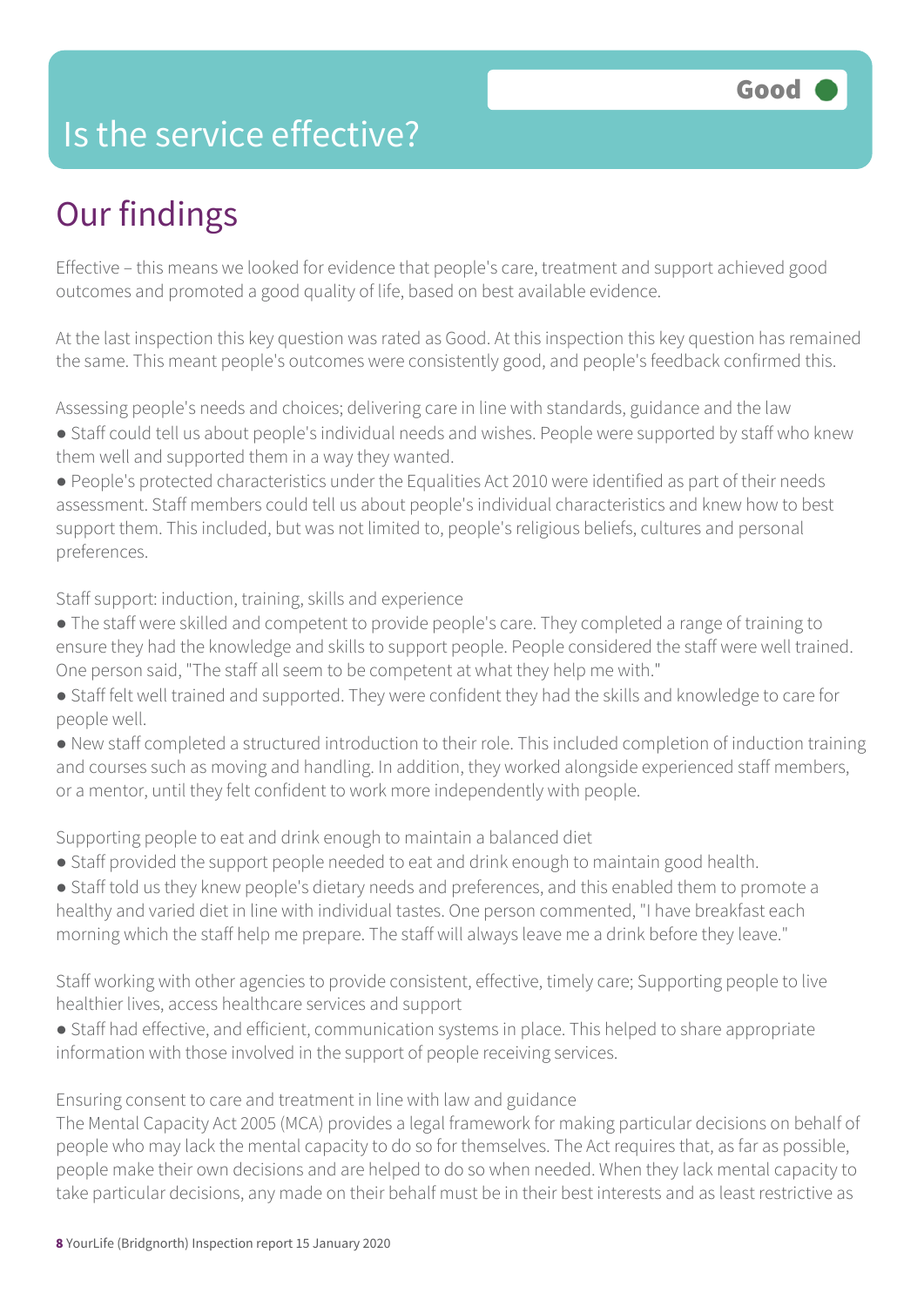### Is the service effective?

## Our findings

Effective – this means we looked for evidence that people's care, treatment and support achieved good outcomes and promoted a good quality of life, based on best available evidence.

At the last inspection this key question was rated as Good. At this inspection this key question has remained the same. This meant people's outcomes were consistently good, and people's feedback confirmed this.

Assessing people's needs and choices; delivering care in line with standards, guidance and the law • Staff could tell us about people's individual needs and wishes. People were supported by staff who knew them well and supported them in a way they wanted.

● People's protected characteristics under the Equalities Act 2010 were identified as part of their needs assessment. Staff members could tell us about people's individual characteristics and knew how to best support them. This included, but was not limited to, people's religious beliefs, cultures and personal preferences.

Staff support: induction, training, skills and experience

- The staff were skilled and competent to provide people's care. They completed a range of training to ensure they had the knowledge and skills to support people. People considered the staff were well trained. One person said, "The staff all seem to be competent at what they help me with."
- Staff felt well trained and supported. They were confident they had the skills and knowledge to care for people well.
- New staff completed a structured introduction to their role. This included completion of induction training and courses such as moving and handling. In addition, they worked alongside experienced staff members, or a mentor, until they felt confident to work more independently with people.

Supporting people to eat and drink enough to maintain a balanced diet

- Staff provided the support people needed to eat and drink enough to maintain good health.
- Staff told us they knew people's dietary needs and preferences, and this enabled them to promote a healthy and varied diet in line with individual tastes. One person commented, "I have breakfast each morning which the staff help me prepare. The staff will always leave me a drink before they leave."

Staff working with other agencies to provide consistent, effective, timely care; Supporting people to live healthier lives, access healthcare services and support

● Staff had effective, and efficient, communication systems in place. This helped to share appropriate information with those involved in the support of people receiving services.

Ensuring consent to care and treatment in line with law and guidance

The Mental Capacity Act 2005 (MCA) provides a legal framework for making particular decisions on behalf of people who may lack the mental capacity to do so for themselves. The Act requires that, as far as possible, people make their own decisions and are helped to do so when needed. When they lack mental capacity to take particular decisions, any made on their behalf must be in their best interests and as least restrictive as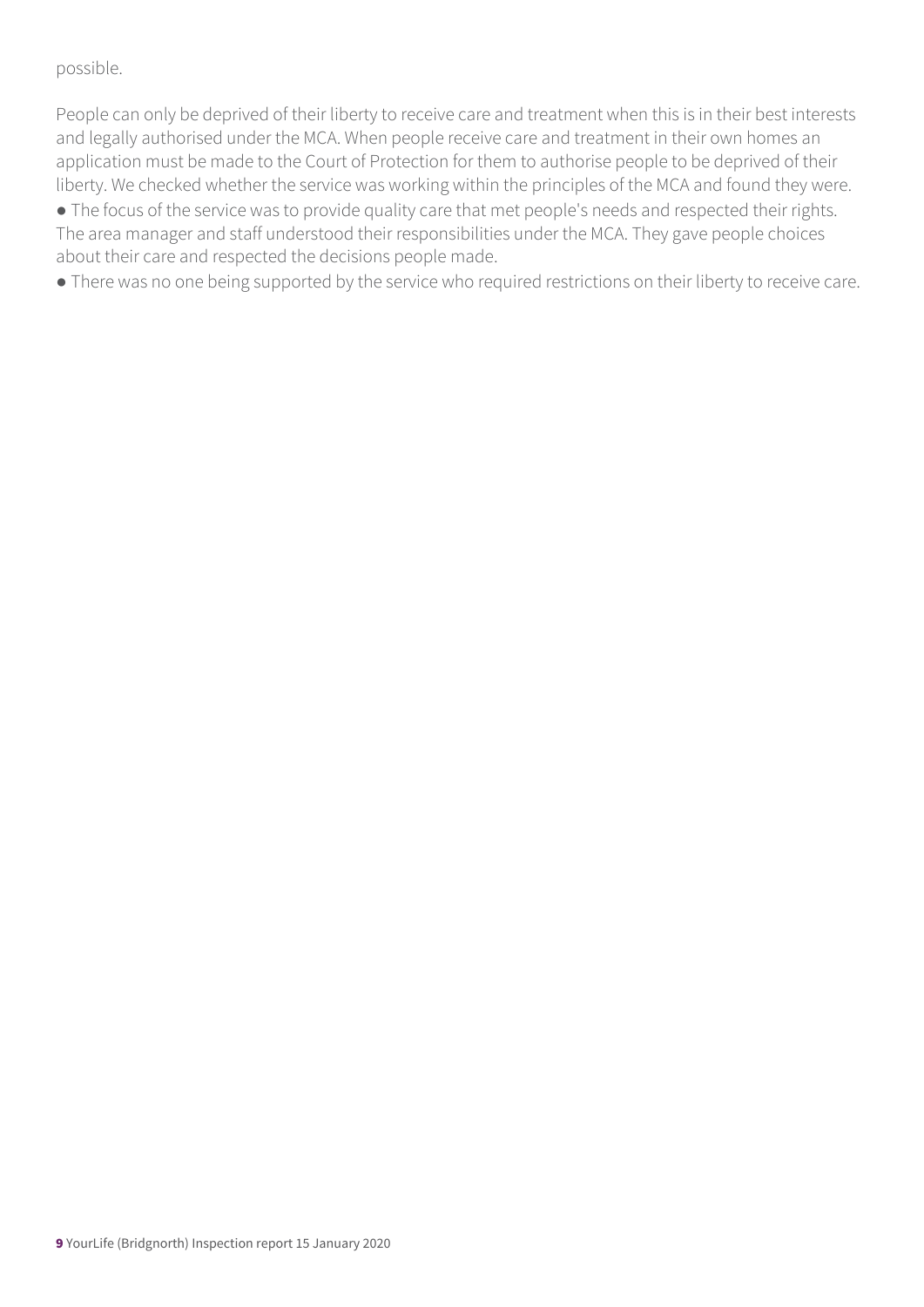#### possible.

People can only be deprived of their liberty to receive care and treatment when this is in their best interests and legally authorised under the MCA. When people receive care and treatment in their own homes an application must be made to the Court of Protection for them to authorise people to be deprived of their liberty. We checked whether the service was working within the principles of the MCA and found they were.

• The focus of the service was to provide quality care that met people's needs and respected their rights. The area manager and staff understood their responsibilities under the MCA. They gave people choices about their care and respected the decisions people made.

● There was no one being supported by the service who required restrictions on their liberty to receive care.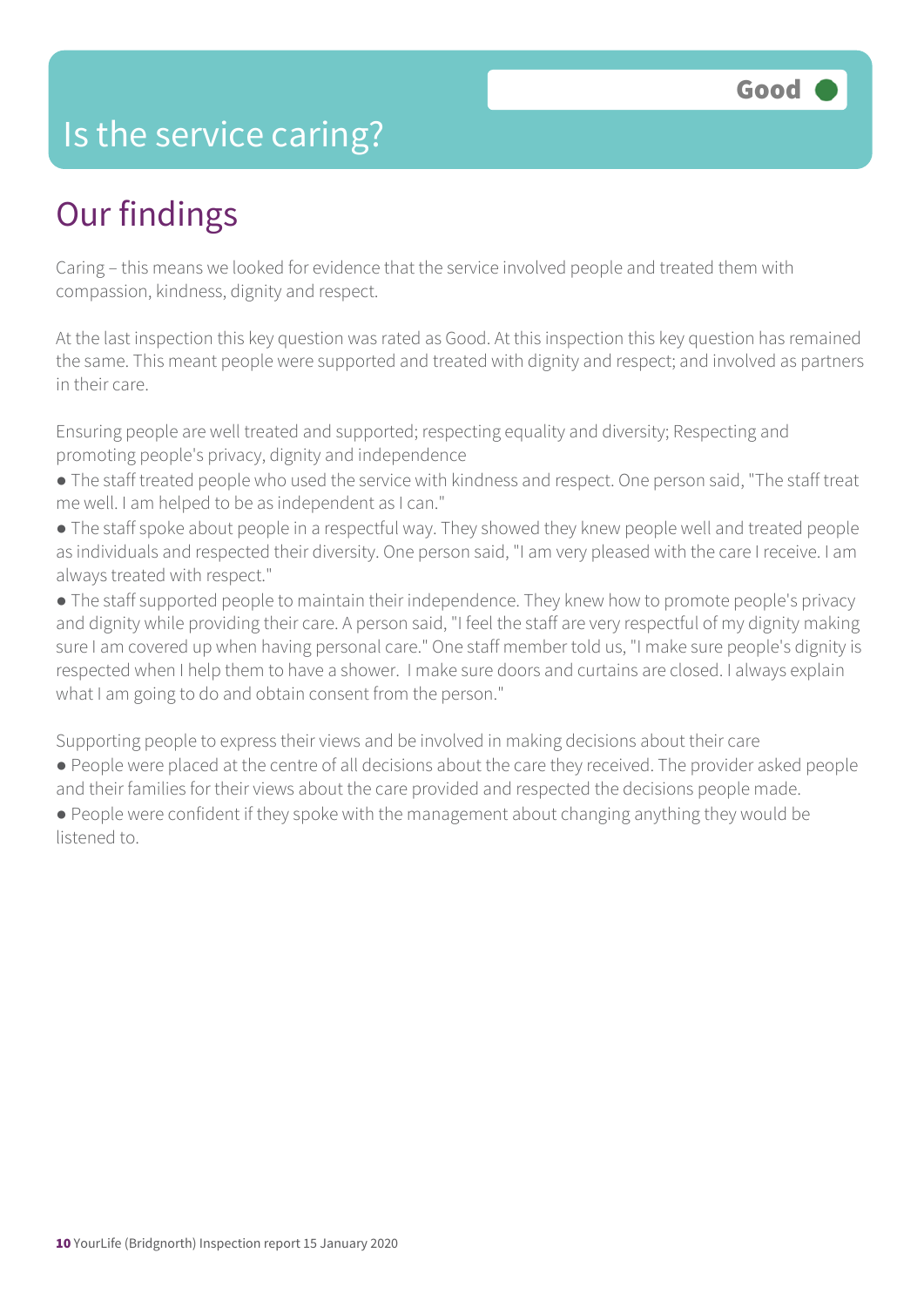### Is the service caring?

### Our findings

Caring – this means we looked for evidence that the service involved people and treated them with compassion, kindness, dignity and respect.

At the last inspection this key question was rated as Good. At this inspection this key question has remained the same. This meant people were supported and treated with dignity and respect; and involved as partners in their care.

Ensuring people are well treated and supported; respecting equality and diversity; Respecting and promoting people's privacy, dignity and independence

- The staff treated people who used the service with kindness and respect. One person said, "The staff treat me well. I am helped to be as independent as I can."
- The staff spoke about people in a respectful way. They showed they knew people well and treated people as individuals and respected their diversity. One person said, "I am very pleased with the care I receive. I am always treated with respect."
- The staff supported people to maintain their independence. They knew how to promote people's privacy and dignity while providing their care. A person said, "I feel the staff are very respectful of my dignity making sure I am covered up when having personal care." One staff member told us, "I make sure people's dignity is respected when I help them to have a shower. I make sure doors and curtains are closed. I always explain what I am going to do and obtain consent from the person."

Supporting people to express their views and be involved in making decisions about their care

- People were placed at the centre of all decisions about the care they received. The provider asked people and their families for their views about the care provided and respected the decisions people made.
- People were confident if they spoke with the management about changing anything they would be listened to.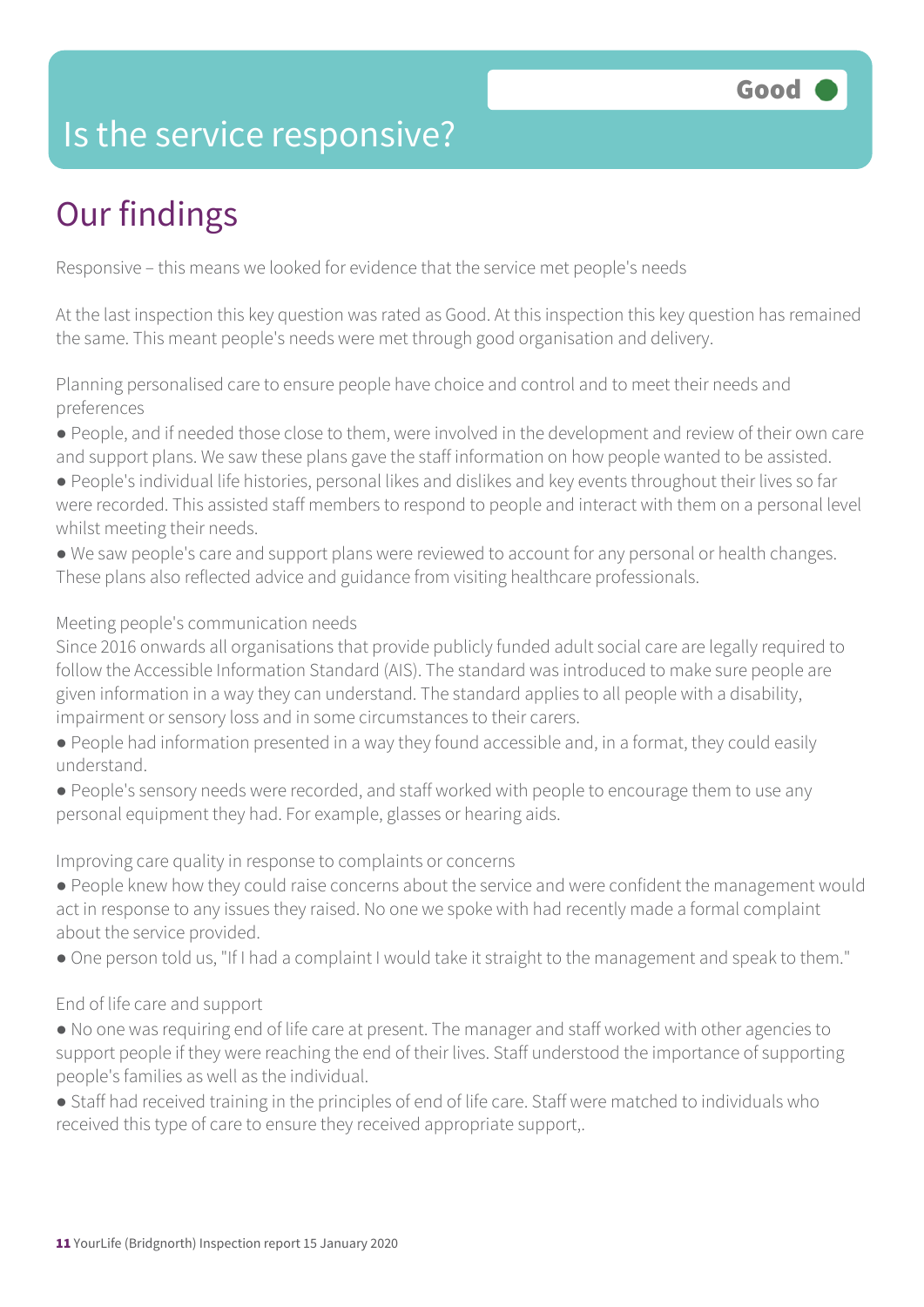### Is the service responsive?

# Our findings

Responsive – this means we looked for evidence that the service met people's needs

At the last inspection this key question was rated as Good. At this inspection this key question has remained the same. This meant people's needs were met through good organisation and delivery.

Planning personalised care to ensure people have choice and control and to meet their needs and preferences

- People, and if needed those close to them, were involved in the development and review of their own care and support plans. We saw these plans gave the staff information on how people wanted to be assisted.
- People's individual life histories, personal likes and dislikes and key events throughout their lives so far were recorded. This assisted staff members to respond to people and interact with them on a personal level whilst meeting their needs.
- We saw people's care and support plans were reviewed to account for any personal or health changes. These plans also reflected advice and guidance from visiting healthcare professionals.

#### Meeting people's communication needs

Since 2016 onwards all organisations that provide publicly funded adult social care are legally required to follow the Accessible Information Standard (AIS). The standard was introduced to make sure people are given information in a way they can understand. The standard applies to all people with a disability, impairment or sensory loss and in some circumstances to their carers.

- People had information presented in a way they found accessible and, in a format, they could easily understand.
- People's sensory needs were recorded, and staff worked with people to encourage them to use any personal equipment they had. For example, glasses or hearing aids.

Improving care quality in response to complaints or concerns

- People knew how they could raise concerns about the service and were confident the management would act in response to any issues they raised. No one we spoke with had recently made a formal complaint about the service provided.
- One person told us, "If I had a complaint I would take it straight to the management and speak to them."

#### End of life care and support

- No one was requiring end of life care at present. The manager and staff worked with other agencies to support people if they were reaching the end of their lives. Staff understood the importance of supporting people's families as well as the individual.
- Staff had received training in the principles of end of life care. Staff were matched to individuals who received this type of care to ensure they received appropriate support,.